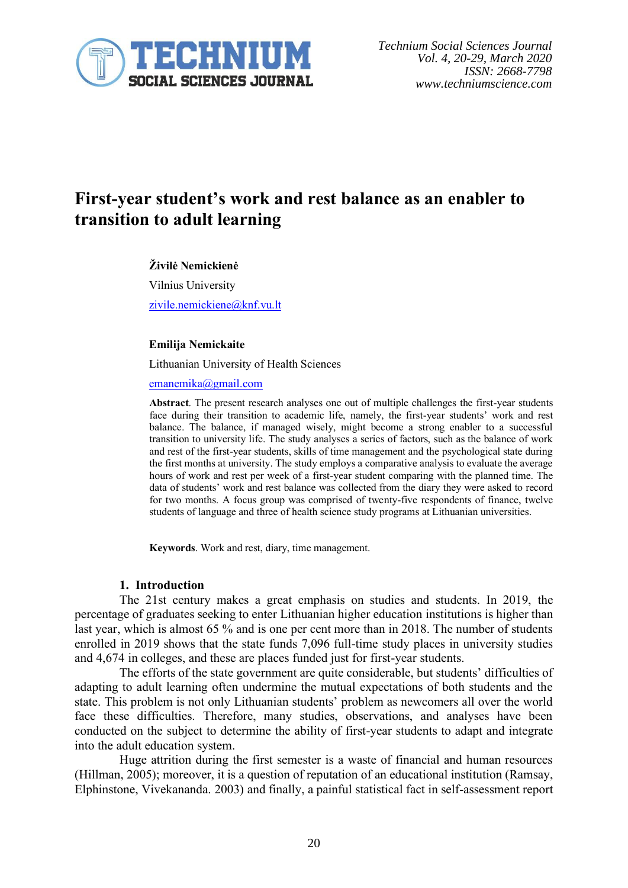

# **First-year student's work and rest balance as an enabler to transition to adult learning**

#### **Živilė Nemickienė**

Vilnius University [zivile.nemickiene@knf.vu.lt](mailto:zivile.nemickiene@knf.vu.lt)

#### **Emilija Nemickaite**

Lithuanian University of Health Sciences

[emanemika@gmail.com](mailto:emanemika@gmail.com)

**Abstract**. The present research analyses one out of multiple challenges the first-year students face during their transition to academic life, namely, the first-year students' work and rest balance. The balance, if managed wisely, might become a strong enabler to a successful transition to university life. The study analyses a series of factors, such as the balance of work and rest of the first-year students, skills of time management and the psychological state during the first months at university. The study employs a comparative analysis to evaluate the average hours of work and rest per week of a first-year student comparing with the planned time. The data of students' work and rest balance was collected from the diary they were asked to record for two months. A focus group was comprised of twenty-five respondents of finance, twelve students of language and three of health science study programs at Lithuanian universities.

**Keywords**. Work and rest, diary, time management.

#### **1. Introduction**

The 21st century makes a great emphasis on studies and students. In 2019, the percentage of graduates seeking to enter Lithuanian higher education institutions is higher than last year, which is almost 65 % and is one per cent more than in 2018. The number of students enrolled in 2019 shows that the state funds 7,096 full-time study places in university studies and 4,674 in colleges, and these are places funded just for first-year students.

The efforts of the state government are quite considerable, but students' difficulties of adapting to adult learning often undermine the mutual expectations of both students and the state. This problem is not only Lithuanian students' problem as newcomers all over the world face these difficulties. Therefore, many studies, observations, and analyses have been conducted on the subject to determine the ability of first-year students to adapt and integrate into the adult education system.

Huge attrition during the first semester is a waste of financial and human resources (Hillman, 2005); moreover, it is a question of reputation of an educational institution (Ramsay, Elphinstone, Vivekananda. 2003) and finally, a painful statistical fact in self-assessment report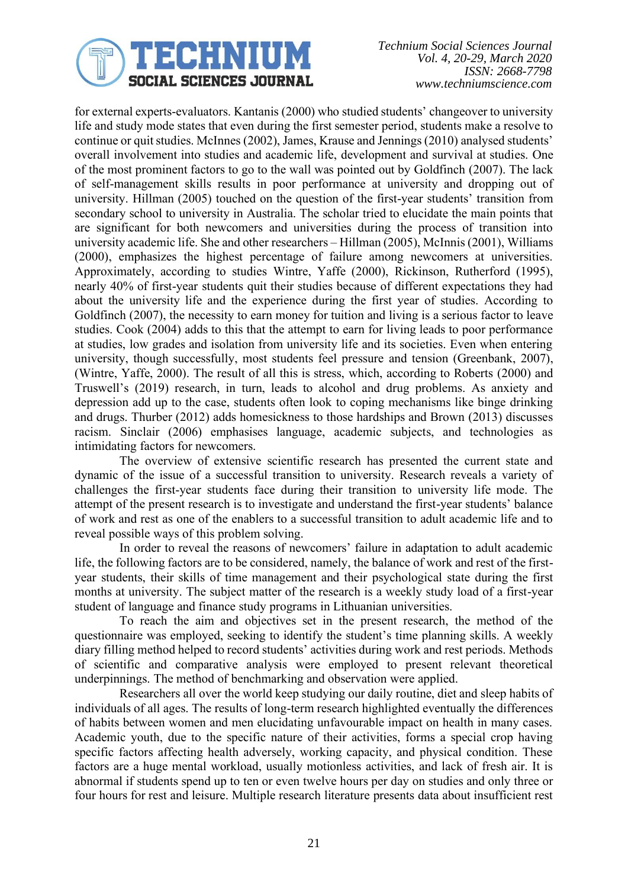

*Technium Social Sciences Journal Vol. 4, 20-29, March 2020 ISSN: 2668-7798 www.techniumscience.com*

for external experts-evaluators. Kantanis (2000) who studied students' changeover to university life and study mode states that even during the first semester period, students make a resolve to continue or quit studies. McInnes (2002), James, Krause and Jennings (2010) analysed students' overall involvement into studies and academic life, development and survival at studies. One of the most prominent factors to go to the wall was pointed out by Goldfinch (2007). The lack of self-management skills results in poor performance at university and dropping out of university. Hillman (2005) touched on the question of the first-year students' transition from secondary school to university in Australia. The scholar tried to elucidate the main points that are significant for both newcomers and universities during the process of transition into university academic life. She and other researchers – Hillman (2005), McInnis (2001), Williams (2000), emphasizes the highest percentage of failure among newcomers at universities. Approximately, according to studies Wintre, Yaffe (2000), Rickinson, Rutherford (1995), nearly 40% of first-year students quit their studies because of different expectations they had about the university life and the experience during the first year of studies. According to Goldfinch (2007), the necessity to earn money for tuition and living is a serious factor to leave studies. Cook (2004) adds to this that the attempt to earn for living leads to poor performance at studies, low grades and isolation from university life and its societies. Even when entering university, though successfully, most students feel pressure and tension (Greenbank, 2007), (Wintre, Yaffe, 2000). The result of all this is stress, which, according to Roberts (2000) and Truswell's (2019) research, in turn, leads to alcohol and drug problems. As anxiety and depression add up to the case, students often look to coping mechanisms like binge drinking and drugs. Thurber (2012) adds homesickness to those hardships and Brown (2013) discusses racism. Sinclair (2006) emphasises language, academic subjects, and technologies as intimidating factors for newcomers.

The overview of extensive scientific research has presented the current state and dynamic of the issue of a successful transition to university. Research reveals a variety of challenges the first-year students face during their transition to university life mode. The attempt of the present research is to investigate and understand the first-year students' balance of work and rest as one of the enablers to a successful transition to adult academic life and to reveal possible ways of this problem solving.

In order to reveal the reasons of newcomers' failure in adaptation to adult academic life, the following factors are to be considered, namely, the balance of work and rest of the firstyear students, their skills of time management and their psychological state during the first months at university. The subject matter of the research is a weekly study load of a first-year student of language and finance study programs in Lithuanian universities.

To reach the aim and objectives set in the present research, the method of the questionnaire was employed, seeking to identify the student's time planning skills. A weekly diary filling method helped to record students' activities during work and rest periods. Methods of scientific and comparative analysis were employed to present relevant theoretical underpinnings. The method of benchmarking and observation were applied.

Researchers all over the world keep studying our daily routine, diet and sleep habits of individuals of all ages. The results of long-term research highlighted eventually the differences of habits between women and men elucidating unfavourable impact on health in many cases. Academic youth, due to the specific nature of their activities, forms a special crop having specific factors affecting health adversely, working capacity, and physical condition. These factors are a huge mental workload, usually motionless activities, and lack of fresh air. It is abnormal if students spend up to ten or even twelve hours per day on studies and only three or four hours for rest and leisure. Multiple research literature presents data about insufficient rest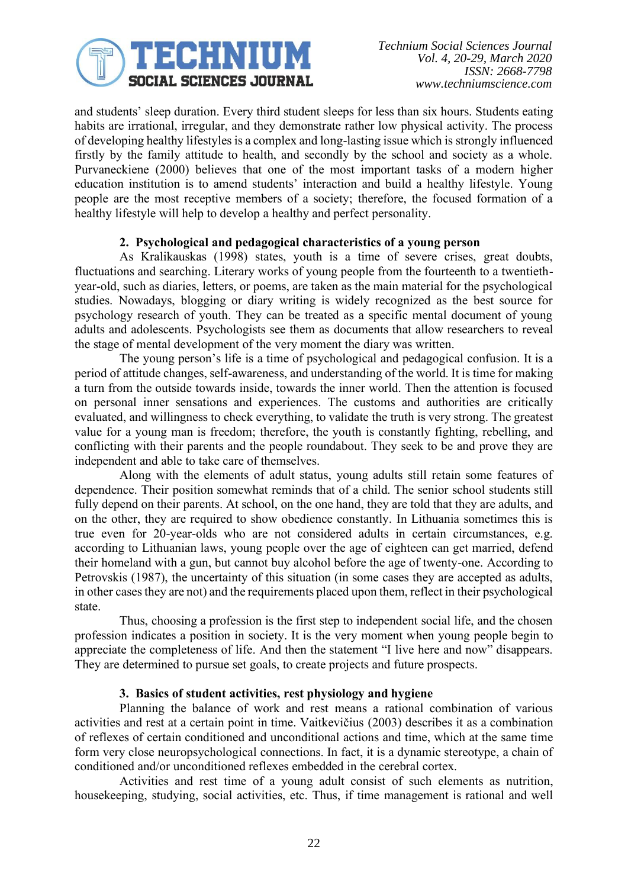

and students' sleep duration. Every third student sleeps for less than six hours. Students eating habits are irrational, irregular, and they demonstrate rather low physical activity. The process of developing healthy lifestyles is a complex and long-lasting issue which is strongly influenced firstly by the family attitude to health, and secondly by the school and society as a whole. Purvaneckiene (2000) believes that one of the most important tasks of a modern higher education institution is to amend students' interaction and build a healthy lifestyle. Young people are the most receptive members of a society; therefore, the focused formation of a healthy lifestyle will help to develop a healthy and perfect personality.

# **2. Psychological and pedagogical characteristics of a young person**

As Kralikauskas (1998) states, youth is a time of severe crises, great doubts, fluctuations and searching. Literary works of young people from the fourteenth to a twentiethyear-old, such as diaries, letters, or poems, are taken as the main material for the psychological studies. Nowadays, blogging or diary writing is widely recognized as the best source for psychology research of youth. They can be treated as a specific mental document of young adults and adolescents. Psychologists see them as documents that allow researchers to reveal the stage of mental development of the very moment the diary was written.

The young person's life is a time of psychological and pedagogical confusion. It is a period of attitude changes, self-awareness, and understanding of the world. It is time for making a turn from the outside towards inside, towards the inner world. Then the attention is focused on personal inner sensations and experiences. The customs and authorities are critically evaluated, and willingness to check everything, to validate the truth is very strong. The greatest value for a young man is freedom; therefore, the youth is constantly fighting, rebelling, and conflicting with their parents and the people roundabout. They seek to be and prove they are independent and able to take care of themselves.

Along with the elements of adult status, young adults still retain some features of dependence. Their position somewhat reminds that of a child. The senior school students still fully depend on their parents. At school, on the one hand, they are told that they are adults, and on the other, they are required to show obedience constantly. In Lithuania sometimes this is true even for 20-year-olds who are not considered adults in certain circumstances, e.g. according to Lithuanian laws, young people over the age of eighteen can get married, defend their homeland with a gun, but cannot buy alcohol before the age of twenty-one. According to Petrovskis (1987), the uncertainty of this situation (in some cases they are accepted as adults, in other cases they are not) and the requirements placed upon them, reflect in their psychological state.

Thus, choosing a profession is the first step to independent social life, and the chosen profession indicates a position in society. It is the very moment when young people begin to appreciate the completeness of life. And then the statement "I live here and now" disappears. They are determined to pursue set goals, to create projects and future prospects.

## **3. Basics of student activities, rest physiology and hygiene**

Planning the balance of work and rest means a rational combination of various activities and rest at a certain point in time. Vaitkevičius (2003) describes it as a combination of reflexes of certain conditioned and unconditional actions and time, which at the same time form very close neuropsychological connections. In fact, it is a dynamic stereotype, a chain of conditioned and/or unconditioned reflexes embedded in the cerebral cortex.

Activities and rest time of a young adult consist of such elements as nutrition, housekeeping, studying, social activities, etc. Thus, if time management is rational and well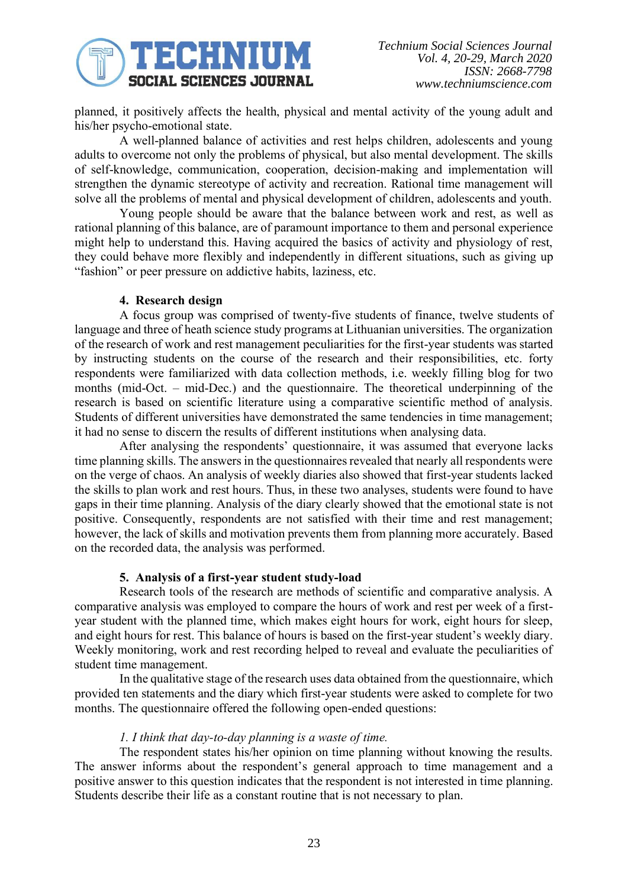

planned, it positively affects the health, physical and mental activity of the young adult and his/her psycho-emotional state.

A well-planned balance of activities and rest helps children, adolescents and young adults to overcome not only the problems of physical, but also mental development. The skills of self-knowledge, communication, cooperation, decision-making and implementation will strengthen the dynamic stereotype of activity and recreation. Rational time management will solve all the problems of mental and physical development of children, adolescents and youth.

Young people should be aware that the balance between work and rest, as well as rational planning of this balance, are of paramount importance to them and personal experience might help to understand this. Having acquired the basics of activity and physiology of rest, they could behave more flexibly and independently in different situations, such as giving up "fashion" or peer pressure on addictive habits, laziness, etc.

## **4. Research design**

A focus group was comprised of twenty-five students of finance, twelve students of language and three of heath science study programs at Lithuanian universities. The organization of the research of work and rest management peculiarities for the first-year students was started by instructing students on the course of the research and their responsibilities, etc. forty respondents were familiarized with data collection methods, i.e. weekly filling blog for two months (mid-Oct. – mid-Dec.) and the questionnaire. The theoretical underpinning of the research is based on scientific literature using a comparative scientific method of analysis. Students of different universities have demonstrated the same tendencies in time management; it had no sense to discern the results of different institutions when analysing data.

After analysing the respondents' questionnaire, it was assumed that everyone lacks time planning skills. The answers in the questionnaires revealed that nearly all respondents were on the verge of chaos. An analysis of weekly diaries also showed that first-year students lacked the skills to plan work and rest hours. Thus, in these two analyses, students were found to have gaps in their time planning. Analysis of the diary clearly showed that the emotional state is not positive. Consequently, respondents are not satisfied with their time and rest management; however, the lack of skills and motivation prevents them from planning more accurately. Based on the recorded data, the analysis was performed.

## **5. Analysis of a first-year student study-load**

Research tools of the research are methods of scientific and comparative analysis. A comparative analysis was employed to compare the hours of work and rest per week of a firstyear student with the planned time, which makes eight hours for work, eight hours for sleep, and eight hours for rest. This balance of hours is based on the first-year student's weekly diary. Weekly monitoring, work and rest recording helped to reveal and evaluate the peculiarities of student time management.

In the qualitative stage of the research uses data obtained from the questionnaire, which provided ten statements and the diary which first-year students were asked to complete for two months. The questionnaire offered the following open-ended questions:

# *1. I think that day-to-day planning is a waste of time.*

The respondent states his/her opinion on time planning without knowing the results. The answer informs about the respondent's general approach to time management and a positive answer to this question indicates that the respondent is not interested in time planning. Students describe their life as a constant routine that is not necessary to plan.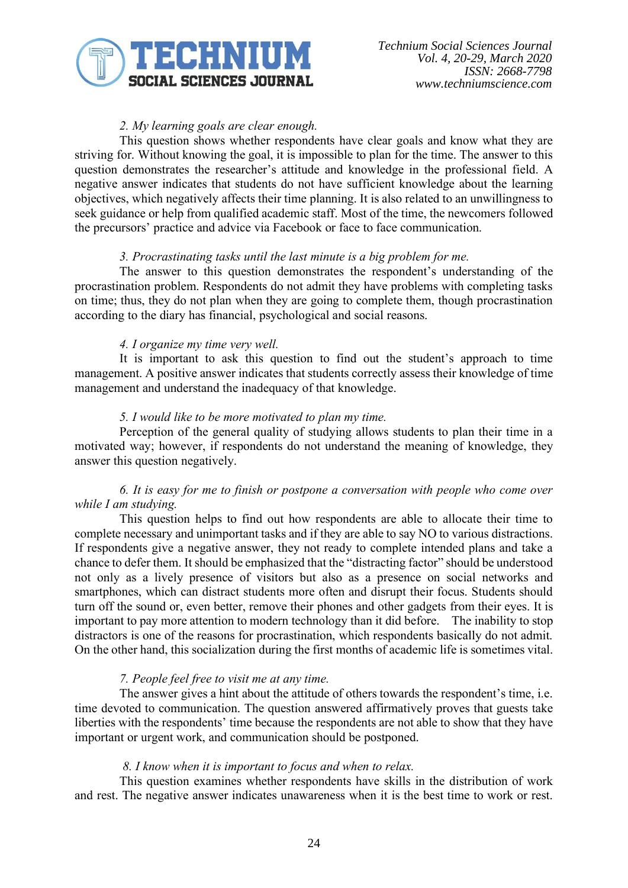

# *2. My learning goals are clear enough.*

This question shows whether respondents have clear goals and know what they are striving for. Without knowing the goal, it is impossible to plan for the time. The answer to this question demonstrates the researcher's attitude and knowledge in the professional field. A negative answer indicates that students do not have sufficient knowledge about the learning objectives, which negatively affects their time planning. It is also related to an unwillingness to seek guidance or help from qualified academic staff. Most of the time, the newcomers followed the precursors' practice and advice via Facebook or face to face communication.

#### *3. Procrastinating tasks until the last minute is a big problem for me.*

The answer to this question demonstrates the respondent's understanding of the procrastination problem. Respondents do not admit they have problems with completing tasks on time; thus, they do not plan when they are going to complete them, though procrastination according to the diary has financial, psychological and social reasons.

#### *4. I organize my time very well.*

It is important to ask this question to find out the student's approach to time management. A positive answer indicates that students correctly assess their knowledge of time management and understand the inadequacy of that knowledge.

#### *5. I would like to be more motivated to plan my time.*

Perception of the general quality of studying allows students to plan their time in a motivated way; however, if respondents do not understand the meaning of knowledge, they answer this question negatively.

# *6. It is easy for me to finish or postpone a conversation with people who come over while I am studying.*

This question helps to find out how respondents are able to allocate their time to complete necessary and unimportant tasks and if they are able to say NO to various distractions. If respondents give a negative answer, they not ready to complete intended plans and take a chance to defer them. It should be emphasized that the "distracting factor" should be understood not only as a lively presence of visitors but also as a presence on social networks and smartphones, which can distract students more often and disrupt their focus. Students should turn off the sound or, even better, remove their phones and other gadgets from their eyes. It is important to pay more attention to modern technology than it did before. The inability to stop distractors is one of the reasons for procrastination, which respondents basically do not admit. On the other hand, this socialization during the first months of academic life is sometimes vital.

## *7. People feel free to visit me at any time.*

The answer gives a hint about the attitude of others towards the respondent's time, i.e. time devoted to communication. The question answered affirmatively proves that guests take liberties with the respondents' time because the respondents are not able to show that they have important or urgent work, and communication should be postponed.

#### *8. I know when it is important to focus and when to relax.*

This question examines whether respondents have skills in the distribution of work and rest. The negative answer indicates unawareness when it is the best time to work or rest.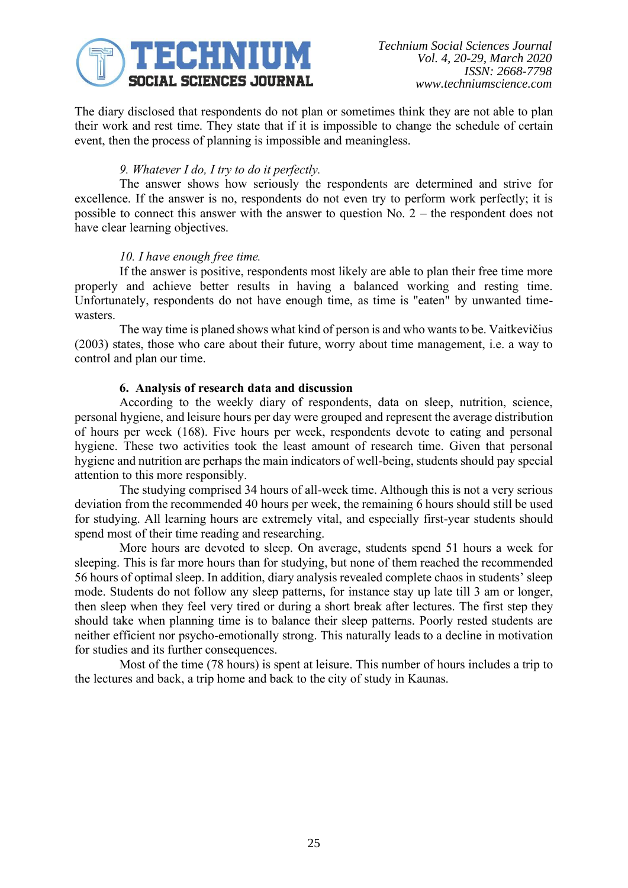

The diary disclosed that respondents do not plan or sometimes think they are not able to plan their work and rest time. They state that if it is impossible to change the schedule of certain event, then the process of planning is impossible and meaningless.

# *9. Whatever I do, I try to do it perfectly.*

The answer shows how seriously the respondents are determined and strive for excellence. If the answer is no, respondents do not even try to perform work perfectly; it is possible to connect this answer with the answer to question No. 2 – the respondent does not have clear learning objectives.

## *10. I have enough free time.*

If the answer is positive, respondents most likely are able to plan their free time more properly and achieve better results in having a balanced working and resting time. Unfortunately, respondents do not have enough time, as time is "eaten" by unwanted timewasters.

The way time is planed shows what kind of person is and who wants to be. Vaitkevičius (2003) states, those who care about their future, worry about time management, i.e. a way to control and plan our time.

# **6. Analysis of research data and discussion**

According to the weekly diary of respondents, data on sleep, nutrition, science, personal hygiene, and leisure hours per day were grouped and represent the average distribution of hours per week (168). Five hours per week, respondents devote to eating and personal hygiene. These two activities took the least amount of research time. Given that personal hygiene and nutrition are perhaps the main indicators of well-being, students should pay special attention to this more responsibly.

The studying comprised 34 hours of all-week time. Although this is not a very serious deviation from the recommended 40 hours per week, the remaining 6 hours should still be used for studying. All learning hours are extremely vital, and especially first-year students should spend most of their time reading and researching.

More hours are devoted to sleep. On average, students spend 51 hours a week for sleeping. This is far more hours than for studying, but none of them reached the recommended 56 hours of optimal sleep. In addition, diary analysis revealed complete chaos in students' sleep mode. Students do not follow any sleep patterns, for instance stay up late till 3 am or longer, then sleep when they feel very tired or during a short break after lectures. The first step they should take when planning time is to balance their sleep patterns. Poorly rested students are neither efficient nor psycho-emotionally strong. This naturally leads to a decline in motivation for studies and its further consequences.

Most of the time (78 hours) is spent at leisure. This number of hours includes a trip to the lectures and back, a trip home and back to the city of study in Kaunas.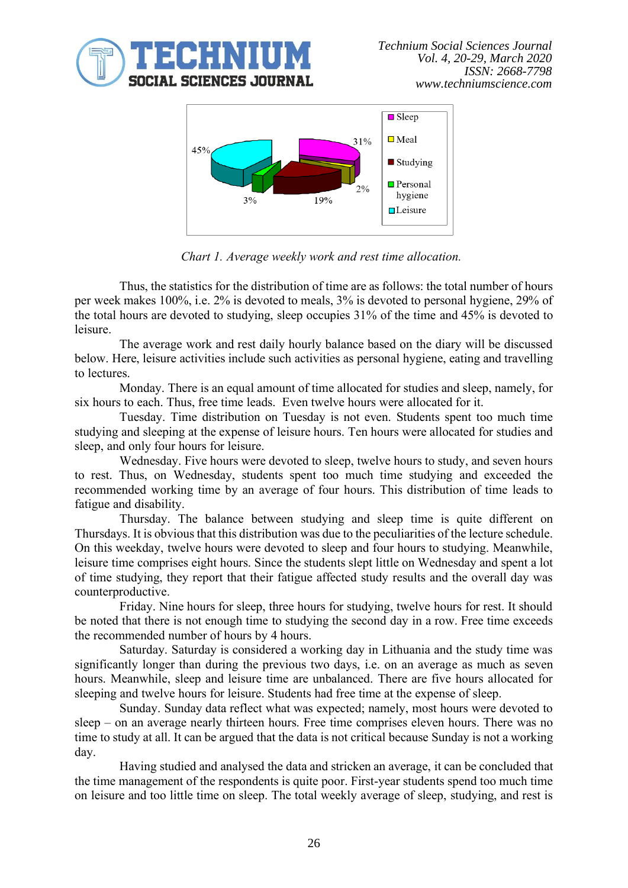



*Chart 1. Average weekly work and rest time allocation.*

Thus, the statistics for the distribution of time are as follows: the total number of hours per week makes 100%, i.e. 2% is devoted to meals, 3% is devoted to personal hygiene, 29% of the total hours are devoted to studying, sleep occupies 31% of the time and 45% is devoted to leisure.

The average work and rest daily hourly balance based on the diary will be discussed below. Here, leisure activities include such activities as personal hygiene, eating and travelling to lectures.

Monday. There is an equal amount of time allocated for studies and sleep, namely, for six hours to each. Thus, free time leads. Even twelve hours were allocated for it.

Tuesday. Time distribution on Tuesday is not even. Students spent too much time studying and sleeping at the expense of leisure hours. Ten hours were allocated for studies and sleep, and only four hours for leisure.

Wednesday. Five hours were devoted to sleep, twelve hours to study, and seven hours to rest. Thus, on Wednesday, students spent too much time studying and exceeded the recommended working time by an average of four hours. This distribution of time leads to fatigue and disability.

Thursday. The balance between studying and sleep time is quite different on Thursdays. It is obvious that this distribution was due to the peculiarities of the lecture schedule. On this weekday, twelve hours were devoted to sleep and four hours to studying. Meanwhile, leisure time comprises eight hours. Since the students slept little on Wednesday and spent a lot of time studying, they report that their fatigue affected study results and the overall day was counterproductive.

Friday. Nine hours for sleep, three hours for studying, twelve hours for rest. It should be noted that there is not enough time to studying the second day in a row. Free time exceeds the recommended number of hours by 4 hours.

Saturday. Saturday is considered a working day in Lithuania and the study time was significantly longer than during the previous two days, i.e. on an average as much as seven hours. Meanwhile, sleep and leisure time are unbalanced. There are five hours allocated for sleeping and twelve hours for leisure. Students had free time at the expense of sleep.

Sunday. Sunday data reflect what was expected; namely, most hours were devoted to sleep – on an average nearly thirteen hours. Free time comprises eleven hours. There was no time to study at all. It can be argued that the data is not critical because Sunday is not a working day.

Having studied and analysed the data and stricken an average, it can be concluded that the time management of the respondents is quite poor. First-year students spend too much time on leisure and too little time on sleep. The total weekly average of sleep, studying, and rest is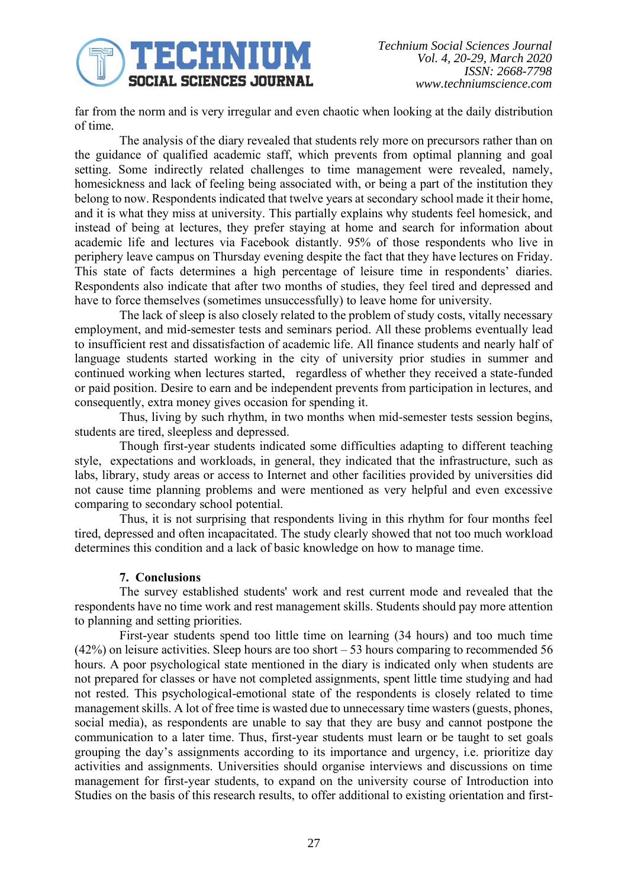

far from the norm and is very irregular and even chaotic when looking at the daily distribution of time.

The analysis of the diary revealed that students rely more on precursors rather than on the guidance of qualified academic staff, which prevents from optimal planning and goal setting. Some indirectly related challenges to time management were revealed, namely, homesickness and lack of feeling being associated with, or being a part of the institution they belong to now. Respondents indicated that twelve years at secondary school made it their home, and it is what they miss at university. This partially explains why students feel homesick, and instead of being at lectures, they prefer staying at home and search for information about academic life and lectures via Facebook distantly. 95% of those respondents who live in periphery leave campus on Thursday evening despite the fact that they have lectures on Friday. This state of facts determines a high percentage of leisure time in respondents' diaries. Respondents also indicate that after two months of studies, they feel tired and depressed and have to force themselves (sometimes unsuccessfully) to leave home for university.

The lack of sleep is also closely related to the problem of study costs, vitally necessary employment, and mid-semester tests and seminars period. All these problems eventually lead to insufficient rest and dissatisfaction of academic life. All finance students and nearly half of language students started working in the city of university prior studies in summer and continued working when lectures started, regardless of whether they received a state-funded or paid position. Desire to earn and be independent prevents from participation in lectures, and consequently, extra money gives occasion for spending it.

Thus, living by such rhythm, in two months when mid-semester tests session begins, students are tired, sleepless and depressed.

Though first-year students indicated some difficulties adapting to different teaching style, expectations and workloads, in general, they indicated that the infrastructure, such as labs, library, study areas or access to Internet and other facilities provided by universities did not cause time planning problems and were mentioned as very helpful and even excessive comparing to secondary school potential.

Thus, it is not surprising that respondents living in this rhythm for four months feel tired, depressed and often incapacitated. The study clearly showed that not too much workload determines this condition and a lack of basic knowledge on how to manage time.

## **7. Conclusions**

The survey established students' work and rest current mode and revealed that the respondents have no time work and rest management skills. Students should pay more attention to planning and setting priorities.

First-year students spend too little time on learning (34 hours) and too much time (42%) on leisure activities. Sleep hours are too short – 53 hours comparing to recommended 56 hours. A poor psychological state mentioned in the diary is indicated only when students are not prepared for classes or have not completed assignments, spent little time studying and had not rested. This psychological-emotional state of the respondents is closely related to time management skills. A lot of free time is wasted due to unnecessary time wasters (guests, phones, social media), as respondents are unable to say that they are busy and cannot postpone the communication to a later time. Thus, first-year students must learn or be taught to set goals grouping the day's assignments according to its importance and urgency, i.e. prioritize day activities and assignments. Universities should organise interviews and discussions on time management for first-year students, to expand on the university course of Introduction into Studies on the basis of this research results, to offer additional to existing orientation and first-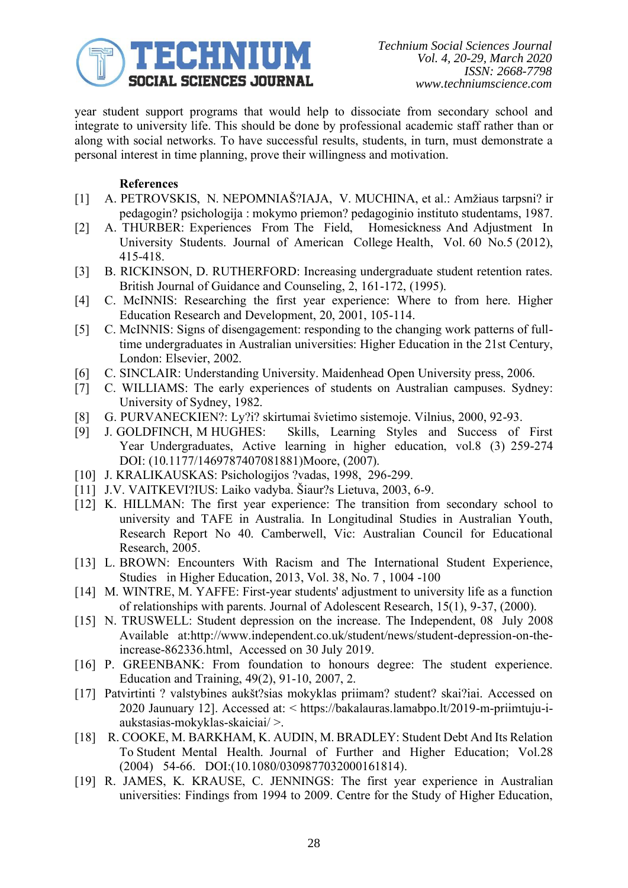

year student support programs that would help to dissociate from secondary school and integrate to university life. This should be done by professional academic staff rather than or along with social networks. To have successful results, students, in turn, must demonstrate a personal interest in time planning, prove their willingness and motivation.

# **References**

- [1] A. PETROVSKIS, N. NEPOMNIAŠ?IAJA, V. MUCHINA, et al.: Amžiaus tarpsni? ir pedagogin? psichologija : mokymo priemon? pedagoginio instituto studentams, 1987.
- [2] A. THURBER: Experiences From The Field, Homesickness And Adjustment In University Students. Journal of American College Health, Vol. 60 No.5 (2012), 415-418.
- [3] B. RICKINSON, D. RUTHERFORD: Increasing undergraduate student retention rates. British Journal of Guidance and Counseling, 2, 161-172, (1995).
- [4] C. McINNIS: Researching the first year experience: Where to from here. Higher Education Research and Development, 20, 2001, 105-114.
- [5] C. McINNIS: Signs of disengagement: responding to the changing work patterns of fulltime undergraduates in Australian universities: Higher Education in the 21st Century, London: Elsevier, 2002.
- [6] C. SINCLAIR: Understanding University. Maidenhead Open University press, 2006.
- [7] C. WILLIAMS: The early experiences of students on Australian campuses. Sydney: University of Sydney, 1982.
- [8] G. PURVANECKIEN?: Ly?i? skirtumai švietimo sistemoje. Vilnius, 2000, 92-93.
- [9] J. GOLDFINCH, M HUGHES: Skills, Learning Styles and Success of First Year Undergraduates, Active learning in higher education, vol.8 (3) 259-274 DOI: (10.1177/1469787407081881)Moore, (2007).
- [10] J. KRALIKAUSKAS: Psichologijos ?vadas, 1998, 296-299.
- [11] J.V. VAITKEVI?IUS: Laiko vadyba. Šiaur?s Lietuva, 2003, 6-9.
- [12] K. HILLMAN: The first year experience: The transition from secondary school to university and TAFE in Australia. In Longitudinal Studies in Australian Youth, Research Report No 40. Camberwell, Vic: Australian Council for Educational Research, 2005.
- [13] L. BROWN: Encounters With Racism and The International Student Experience, Studies in Higher Education, 2013, Vol. 38, No. 7 , 1004 -100
- [14] M. WINTRE, M. YAFFE: First-year students' adjustment to university life as a function of relationships with parents. Journal of Adolescent Research, 15(1), 9-37, (2000).
- [15] N. TRUSWELL: Student depression on the increase. The Independent, 08 July 2008 Available at:http://www.independent.co.uk/student/news/student-depression-on-theincrease-862336.html, Accessed on 30 July 2019.
- [16] P. GREENBANK: From foundation to honours degree: The student experience. Education and Training, 49(2), 91-10, 2007, 2.
- [17] Patvirtinti ? valstybines aukšt?sias mokyklas priimam? student? skai?iai. Accessed on 2020 Jaunuary 12]. Accessed at: < https://bakalauras.lamabpo.lt/2019-m-priimtuju-iaukstasias-mokyklas-skaiciai/ >.
- [18] R. COOKE, M. BARKHAM, K. AUDIN, M. BRADLEY: Student Debt And Its Relation To Student Mental Health. Journal of Further and Higher Education; Vol.28 (2004) 54-66. DOI:(10.1080/0309877032000161814).
- [19] R. JAMES, K. KRAUSE, C. JENNINGS: The first year experience in Australian universities: Findings from 1994 to 2009. Centre for the Study of Higher Education,